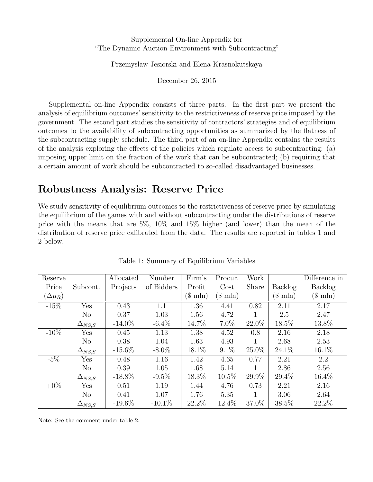#### Supplemental On-line Appendix for "The Dynamic Auction Environment with Subcontracting"

Przemyslaw Jesiorski and Elena Krasnokutskaya

December 26, 2015

Supplemental on-line Appendix consists of three parts. In the first part we present the analysis of equilibrium outcomes' sensitivity to the restrictiveness of reserve price imposed by the government. The second part studies the sensitivity of contractors' strategies and of equilibrium outcomes to the availability of subcontracting opportunities as summarized by the flatness of the subcontracting supply schedule. The third part of an on-line Appendix contains the results of the analysis exploring the effects of the policies which regulate access to subcontracting: (a) imposing upper limit on the fraction of the work that can be subcontracted; (b) requiring that a certain amount of work should be subcontracted to so-called disadvantaged businesses.

# Robustness Analysis: Reserve Price

We study sensitivity of equilibrium outcomes to the restrictiveness of reserve price by simulating the equilibrium of the games with and without subcontracting under the distributions of reserve price with the means that are 5%, 10% and 15% higher (and lower) than the mean of the distribution of reserve price calibrated from the data. The results are reported in tables 1 and 2 below.

| Reserve          |                 | Allocated | Number     | Firm's      | Procur.  | Work     |                   | Difference in     |
|------------------|-----------------|-----------|------------|-------------|----------|----------|-------------------|-------------------|
| Price            | Subcont.        | Projects  | of Bidders | Profit      | Cost     | Share    | Backlog           | Backlog           |
| $(\Delta \mu_R)$ |                 |           |            | $(\$, mln)$ | $$\min$$ |          | $(\$ \text{mln})$ | $(\$ \text{mln})$ |
| $-15%$           | Yes             | 0.43      | 1.1        | 1.36        | 4.41     | 0.82     | 2.11              | 2.17              |
|                  | N <sub>o</sub>  | 0.37      | 1.03       | 1.56        | 4.72     | 1        | 2.5               | 2.47              |
|                  | $\Delta_{NS,S}$ | $-14.0\%$ | $-6.4\%$   | 14.7%       | 7.0%     | 22.0%    | 18.5%             | 13.8%             |
| $-10\%$          | Yes             | 0.45      | 1.13       | 1.38        | 4.52     | 0.8      | 2.16              | 2.18              |
|                  | $\rm No$        | 0.38      | 1.04       | 1.63        | 4.93     |          | 2.68              | 2.53              |
|                  | $\Delta_{NS,S}$ | $-15.6\%$ | $-8.0\%$   | $18.1\%$    | $9.1\%$  | $25.0\%$ | 24.1\%            | 16.1%             |
| $-5\%$           | Yes             | 0.48      | 1.16       | 1.42        | 4.65     | 0.77     | 2.21              | 2.2               |
|                  | $\rm No$        | 0.39      | 1.05       | 1.68        | 5.14     | 1        | 2.86              | 2.56              |
|                  | $\Delta_{NS,S}$ | $-18.8\%$ | $-9.5\%$   | 18.3%       | $10.5\%$ | 29.9%    | 29.4%             | $16.4\%$          |
| $+0\%$           | Yes             | 0.51      | 1.19       | 1.44        | 4.76     | 0.73     | 2.21              | 2.16              |
|                  | $\rm No$        | 0.41      | 1.07       | 1.76        | 5.35     | 1        | 3.06              | 2.64              |
|                  | $\Delta_{NS,S}$ | $-19.6\%$ | $-10.1\%$  | 22.2%       | 12.4\%   | 37.0%    | 38.5%             | 22.2%             |

Table 1: Summary of Equilibrium Variables

Note: See the comment under table 2.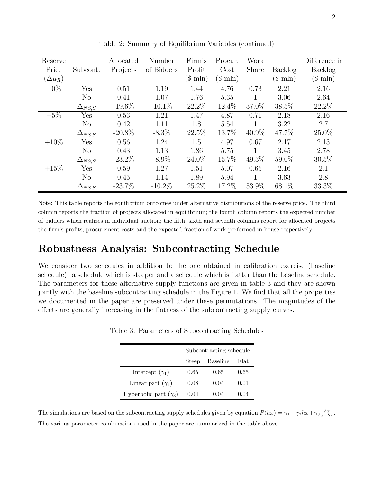| Reserve         |                 | Allocated | Number     | Firm's            | Procur.  | Work  |         | Difference in     |
|-----------------|-----------------|-----------|------------|-------------------|----------|-------|---------|-------------------|
| Price           | Subcont.        | Projects  | of Bidders | Profit            | Cost     | Share | Backlog | Backlog           |
| $(\Delta\mu_R)$ |                 |           |            | $(\$ \text{mln})$ | $$\min$$ |       | $$m\n$  | $(\$ \text{mln})$ |
| $+0\%$          | Yes             | 0.51      | 1.19       | 1.44              | 4.76     | 0.73  | 2.21    | 2.16              |
|                 | $\rm No$        | 0.41      | 1.07       | 1.76              | 5.35     |       | 3.06    | 2.64              |
|                 | $\Delta_{NS,S}$ | $-19.6\%$ | $-10.1\%$  | 22.2%             | 12.4%    | 37.0% | 38.5%   | 22.2%             |
| $+5\%$          | Yes             | 0.53      | 1.21       | 1.47              | 4.87     | 0.71  | 2.18    | 2.16              |
|                 | N <sub>o</sub>  | 0.42      | 1.11       | 1.8               | 5.54     | 1     | 3.22    | 2.7               |
|                 | $\Delta_{NS,S}$ | $-20.8\%$ | $-8.3\%$   | 22.5%             | 13.7%    | 40.9% | 47.7%   | 25.0%             |
| $+10\%$         | Yes             | 0.56      | 1.24       | 1.5               | 4.97     | 0.67  | 2.17    | 2.13              |
|                 | $\rm No$        | 0.43      | 1.13       | 1.86              | 5.75     | 1     | 3.45    | 2.78              |
|                 | $\Delta_{NS,S}$ | $-23.2\%$ | $-8.9\%$   | 24.0%             | 15.7%    | 49.3% | 59.0%   | 30.5%             |
| $+15%$          | Yes             | 0.59      | 1.27       | 1.51              | 5.07     | 0.65  | 2.16    | 2.1               |
|                 | $\rm No$        | 0.45      | 1.14       | 1.89              | 5.94     | 1     | 3.63    | 2.8               |
|                 | $\Delta_{NS,S}$ | $-23.7\%$ | $-10.2\%$  | 25.2%             | 17.2%    | 53.9% | 68.1\%  | 33.3%             |

Table 2: Summary of Equilibrium Variables (continued)

Note: This table reports the equilibrium outcomes under alternative distributions of the reserve price. The third column reports the fraction of projects allocated in equilibrium; the fourth column reports the expected number of bidders which realizes in individual auction; the fifth, sixth and seventh columns report for allocated projects the firm's profits, procurement costs and the expected fraction of work performed in house respectively.

## Robustness Analysis: Subcontracting Schedule

We consider two schedules in addition to the one obtained in calibration exercise (baseline schedule): a schedule which is steeper and a schedule which is flatter than the baseline schedule. The parameters for these alternative supply functions are given in table 3 and they are shown jointly with the baseline subcontracting schedule in the Figure 1. We find that all the properties we documented in the paper are preserved under these permutations. The magnitudes of the effects are generally increasing in the flatness of the subcontracting supply curves.

Table 3: Parameters of Subcontracting Schedules

|                              | Subcontracting schedule |                 |      |  |  |
|------------------------------|-------------------------|-----------------|------|--|--|
|                              | Steep                   | <b>Baseline</b> | Flat |  |  |
| Intercept $(\gamma_1)$       | 0.65                    | 0.65            | 0.65 |  |  |
| Linear part $(\gamma_2)$     | 0.08                    | 0.04            | 0.01 |  |  |
| Hyperbolic part $(\gamma_3)$ | 0.04                    | 0.04            | 0.04 |  |  |

The simulations are based on the subcontracting supply schedules given by equation  $P(hx) = \gamma_1 + \gamma_2 hx + \gamma_3 \frac{hx}{x-hx}$ . The various parameter combinations used in the paper are summarized in the table above.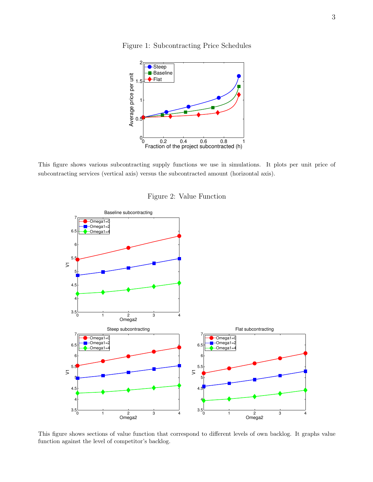

Figure 1: Subcontracting Price Schedules

This figure shows various subcontracting supply functions we use in simulations. It plots per unit price of subcontracting services (vertical axis) versus the subcontracted amount (horizontal axis).

Figure 2: Value Function



This figure shows sections of value function that correspond to different levels of own backlog. It graphs value function against the level of competitor's backlog.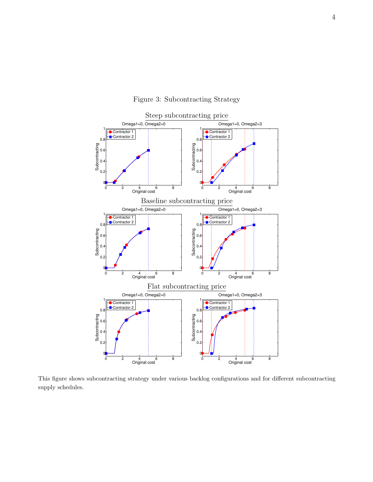



This figure shows subcontracting strategy under various backlog configurations and for different subcontracting supply schedules.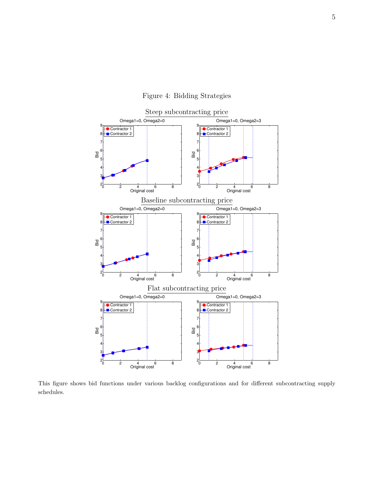#### Figure 4: Bidding Strategies



This figure shows bid functions under various backlog configurations and for different subcontracting supply schedules.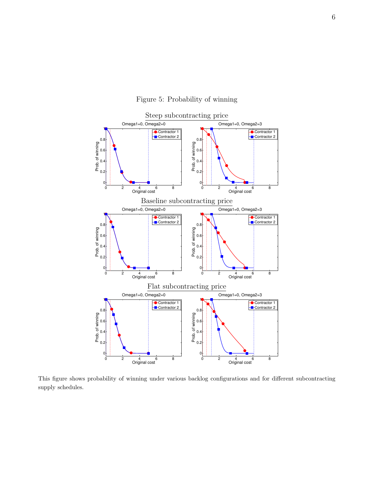



This figure shows probability of winning under various backlog configurations and for different subcontracting supply schedules.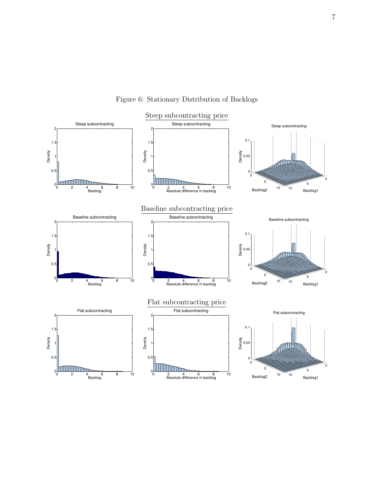

Figure 6: Stationary Distribution of Backlogs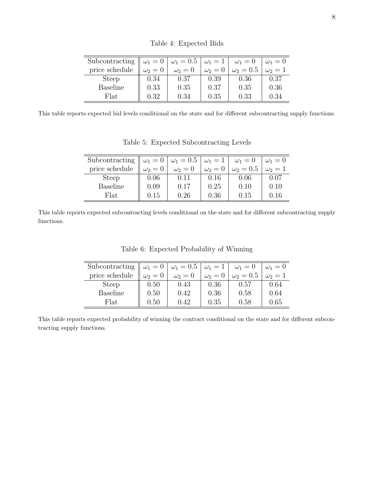| Subcontracting | $\omega_1=0$ | $\omega_1 = 0.5$ | $\omega_1=1$ | $\omega_1=0$   | $\omega_1=0$ |
|----------------|--------------|------------------|--------------|----------------|--------------|
| price schedule | $\omega_2=0$ | $\omega_2=0$     | $\omega_2=0$ | $\omega_2=0.5$ | $\omega_2=1$ |
| <b>Steep</b>   | 0.34         | 0.37             | 0.39         | 0.36           | 0.37         |
| Baseline       | 0.33         | 0.35             | 0.37         | 0.35           | 0.36         |
| Flat           | 0.32         | 0.34             | 0.35         | 0.33           | 0.34         |

Table 4: Expected Bids

This table reports expected bid levels conditional on the state and for different subcontracting supply functions.

| Subcontracting  | $\omega_1=0$ | $\omega_1 = 0.5$ $\omega_1 = 1$ |              | $\omega_1=0$   | $\omega_1=0$ |
|-----------------|--------------|---------------------------------|--------------|----------------|--------------|
| price schedule  | $\omega_2=0$ | $\omega_2=0$                    | $\omega_2=0$ | $\omega_2=0.5$ | $\omega_2=1$ |
| <b>Steep</b>    | 0.06         | 0.11                            | 0.16         | 0.06           | 0.07         |
| <b>Baseline</b> | 0.09         | 0.17                            | 0.25         | 0.10           | 0.10         |
| Flat            | 0.15         | 0.26                            | 0.36         | 0.15           | 0.16         |

Table 5: Expected Subcontracting Levels

This table reports expected subcontracting levels conditional on the state and for different subcontracting supply functions.

| Subcontracting  | $\omega_1=0$ | $\omega_1 = 0.5$ | $\omega_1 = 1 +$ | $\omega_1=0$   | $\omega_1=0$ |
|-----------------|--------------|------------------|------------------|----------------|--------------|
| price schedule  | $\omega_2=0$ | $\omega_2=0$     | $\omega_2=0$     | $\omega_2=0.5$ | $\omega_2=1$ |
| <b>Steep</b>    | 0.50         | 0.43             | 0.36             | 0.57           | 0.64         |
| <b>Baseline</b> | 0.50         | 0.42             | 0.36             | 0.58           | 0.64         |
| Flat            | 0.50         | 0.42             | 0.35             | 0.58           | 0.65         |

Table 6: Expected Probability of Winning

This table reports expected probability of winning the contract conditional on the state and for different subcontracting supply functions.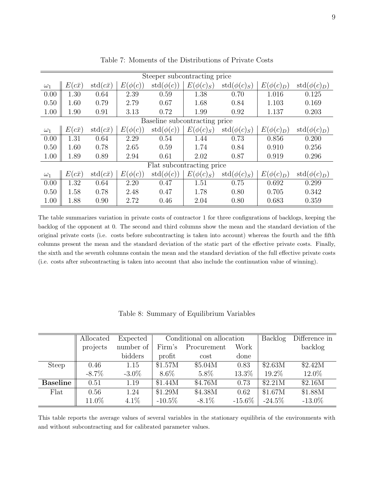|            | Steeper subcontracting price  |                 |              |                           |                |                  |                |                  |  |  |  |
|------------|-------------------------------|-----------------|--------------|---------------------------|----------------|------------------|----------------|------------------|--|--|--|
| $\omega_1$ | $E(c\bar{x})$                 | $std(c\bar{x})$ | $E(\phi(c))$ | $std(\phi(c))$            | $E(\phi(c)_S)$ | $std(\phi(c)_S)$ | $E(\phi(c)_D)$ | $std(\phi(c)_D)$ |  |  |  |
| 0.00       | 1.30                          | 0.64            | 2.39         | 0.59                      | 1.38           | 0.70             | 1.016          | 0.125            |  |  |  |
| 0.50       | 1.60                          | 0.79            | 2.79         | 0.67                      | 1.68           | 0.84             | 1.103          | 0.169            |  |  |  |
| 1.00       | 1.90                          | 0.91            | 3.13         | 0.72                      | 1.99           | 0.92             | 1.137          | 0.203            |  |  |  |
|            | Baseline subcontracting price |                 |              |                           |                |                  |                |                  |  |  |  |
| $\omega_1$ | $E(\cal$<br>$(c\bar{x})$      | $std(c\bar{x})$ | $E(\phi(c))$ | $std(\phi(c)$             | $E(\phi(c)_S)$ | $std(\phi(c)_S)$ | $E(\phi(c)_D)$ | $std(\phi(c)_D)$ |  |  |  |
| 0.00       | 1.31                          | 0.64            | 2.29         | 0.54                      | 1.44           | 0.73             | 0.856          | 0.200            |  |  |  |
| 0.50       | 1.60                          | 0.78            | 2.65         | 0.59                      | 1.74           | 0.84             | 0.910          | 0.256            |  |  |  |
| 1.00       | 1.89                          | 0.89            | 2.94         | 0.61                      | 2.02           | 0.87             | 0.919          | 0.296            |  |  |  |
|            |                               |                 |              | Flat subcontracting price |                |                  |                |                  |  |  |  |
| $\omega_1$ | $E(c\bar{x})$                 | $std(c\bar{x})$ | $E(\phi(c))$ | $std(\phi(c))$            | $E(\phi(c)s)$  | $std(\phi(c)_S)$ | $E(\phi(c)D)$  | $std(\phi(c)_D)$ |  |  |  |
| 0.00       | 1.32                          | 0.64            | 2.20         | 0.47                      | 1.51           | 0.75             | 0.692          | 0.299            |  |  |  |
| 0.50       | 1.58                          | 0.78            | 2.48         | 0.47                      | 1.78           | 0.80             | 0.705          | 0.342            |  |  |  |
| 1.00       | 1.88                          | 0.90            | 2.72         | 0.46                      | 2.04           | 0.80             | 0.683          | 0.359            |  |  |  |

Table 7: Moments of the Distributions of Private Costs

The table summarizes variation in private costs of contractor 1 for three configurations of backlogs, keeping the backlog of the opponent at 0. The second and third columns show the mean and the standard deviation of the original private costs (i.e. costs before subcontracting is taken into account) whereas the fourth and the fifth columns present the mean and the standard deviation of the static part of the effective private costs. Finally, the sixth and the seventh columns contain the mean and the standard deviation of the full effective private costs (i.e. costs after subcontracting is taken into account that also include the continuation value of winning).

|                 | Allocated | Expected  |           | Conditional on allocation<br>Backlog |           |           | Difference in |
|-----------------|-----------|-----------|-----------|--------------------------------------|-----------|-----------|---------------|
|                 | projects  | number of | Firm's    | Procurement                          | Work      |           | backlog       |
|                 |           | bidders   | profit    | cost                                 | done      |           |               |
| <b>Steep</b>    | 0.46      | 1.15      | \$1.57M   | \$5.04M                              | 0.83      | \$2.63M   | \$2.42M       |
|                 | $-8.7\%$  | $-3.0\%$  | $8.6\%$   | $5.8\%$                              | 13.3%     | 19.2%     | 12.0%         |
| <b>Baseline</b> | 0.51      | 1.19      | \$1.44M   | \$4.76M                              | 0.73      | \$2.21M   | \$2.16M       |
| Flat            | 0.56      | 1.24      | \$1.29M   | \$4.38M                              | 0.62      | \$1.67M   | \$1.88M       |
|                 | 11.0%     | $4.1\%$   | $-10.5\%$ | $-8.1\%$                             | $-15.6\%$ | $-24.5\%$ | $-13.0\%$     |

This table reports the average values of several variables in the stationary equilibria of the environments with and without subcontracting and for calibrated parameter values.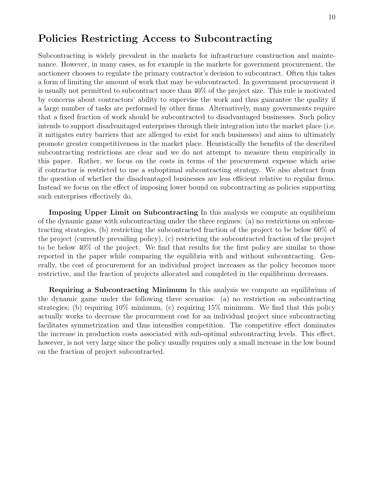## Policies Restricting Access to Subcontracting

Subcontracting is widely prevalent in the markets for infrastructure construction and maintenance. However, in many cases, as for example in the markets for government procurement, the auctioneer chooses to regulate the primary contractor's decision to subcontract. Often this takes a form of limiting the amount of work that may be subcontracted. In government procurement it is usually not permitted to subcontract more than 40% of the project size. This rule is motivated by concerns about contractors' ability to supervise the work and thus guarantee the quality if a large number of tasks are performed by other firms. Alternatively, many governments require that a fixed fraction of work should be subcontracted to disadvantaged businesses. Such policy intends to support disadvantaged enterprises through their integration into the market place (i.e. it mitigates entry barriers that are allerged to exist for such businesses) and aims to ultimately promote greater competitiveness in the market place. Heuristically the benefits of the described subcontracting restrictions are clear and we do not attempt to measure them empirically in this paper. Rather, we focus on the costs in terms of the procurement expense which arise if contractor is restricted to use a suboptimal subcontracting strategy. We also abstract from the question of whether the disadvantaged businesses are less efficient relative to regular firms. Instead we focus on the effect of imposing lower bound on subcontracting as policies supporting such enterprises effectively do.

Imposing Upper Limit on Subcontracting In this analysis we compute an equilibrium of the dynamic game with subcontracting under the three regimes: (a) no restrictions on subcontracting strategies, (b) restricting the subcontracted fraction of the project to be below 60% of the project (currently prevailing policy), (c) restricting the subcontracted fraction of the project to be below 40% of the project. We find that results for the first policy are similar to those reported in the paper while comparing the equilibria with and without subcontracting. Generally, the cost of procurement for an individual project increases as the policy becomes more restrictive, and the fraction of projects allocated and completed in the equilibrium decreases.

Requiring a Subcontracting Minimum In this analysis we compute an equilibrium of the dynamic game under the following three scenarios: (a) no restriction on subcontracting strategies; (b) requiring 10% minimum, (c) requiring 15% minimum. We find that this policy actually works to decrease the procurement cost for an individual project since subcontracting facilitates symmetrization and thus intensifies competition. The competitive effect dominates the increase in production costs associated with sub-optimal subcontracting levels. This effect, however, is not very large since the policy usually requires only a small increase in the low bound on the fraction of project subcontracted.